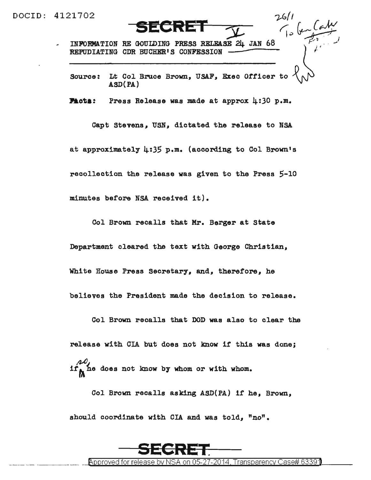DOCID: 4121702 *-if:,//* 

- -----·- ----

INFORMATION RE GOUIDING PRESS RELEASE 24 JAN 68 REPUDIATING CDR BUCHER'S CONFESSION

Source: Lt Col Bruce Brown, USAF, Exec Officer to ASD(PA)

 $\frac{1}{2}$   $\frac{1}{2}$ 

**Facts:** Press Release was made at approx 4:30 p.m.

Capt Stevens, USN, dictated the release to NSA at approximately 4:35 p.m. (according to Col Brown's recollection the release was given to the Press 5-10 minutes before NSA received it).

Col Brown recalls that Mr. Berger at State

Department cleared the text with George Christian,

White House Press Secretary. and, therefore, he

believes the President made the decision to release.

Col Brown recalls that DOD was also to clear the release with CIA but does not know if this was done; *M*  if<sub>A</sub> he does not know by whom or with whom.

Col Brown recalls asking ASD(PA) if he, Brown, should coordinate with CIA and was told, "no".

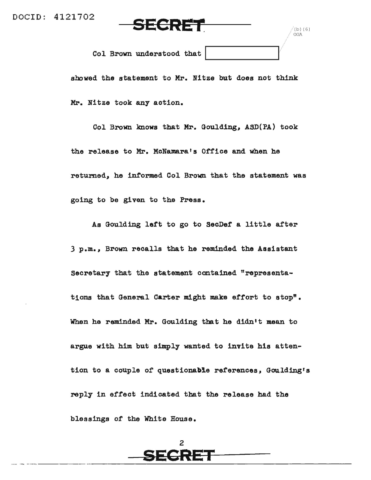···-- ·- -··-·-· --



 $(b)(6)$ . OGA

Col Brown understood that

showed the statement to Mr. Nitze but does not think Mr. Nitze took any action.

Col Brown lmows that Mr. Goulding, ASD{PA) took the release to Mr. McNamara's Office and when he returned, he informed Col Brown that the statement was going to be given to the Press.

As Goulding left to go to SecDef a little after 3 p.m., Brown recalls that he reminded the Assistant Secretary that the statement contained "representations that General Carter might make effort to stop". When he reminded Mr. Goulding that he didn't mean to argue with him but simply wanted to invite his attention to a couple of questionable references, Goulding's reply in effect indicated that the release had the blessings of the White House.